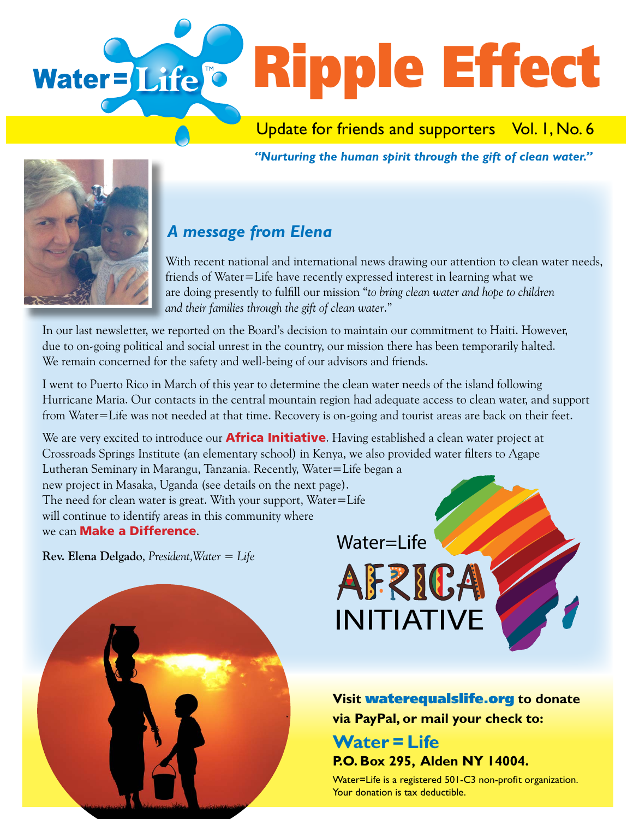

Update for friends and supporters Vol. I, No. 6

*"Nurturing the human spirit through the gift of clean water."* 



## *A message from Elena*

With recent national and international news drawing our attention to clean water needs, friends of Water=Life have recently expressed interest in learning what we are doing presently to fulfill our mission "*to bring clean water and hope to children and their families through the gift of clean water*."

In our last newsletter, we reported on the Board's decision to maintain our commitment to Haiti. However, due to on-going political and social unrest in the country, our mission there has been temporarily halted. We remain concerned for the safety and well-being of our advisors and friends.

I went to Puerto Rico in March of this year to determine the clean water needs of the island following Hurricane Maria. Our contacts in the central mountain region had adequate access to clean water, and support from Water=Life was not needed at that time. Recovery is on-going and tourist areas are back on their feet.

We are very excited to introduce our **Africa Initiative**. Having established a clean water project at Crossroads Springs Institute (an elementary school) in Kenya, we also provided water filters to Agape Lutheran Seminary in Marangu, Tanzania. Recently, Water=Life began a new project in Masaka, Uganda (see details on the next page). The need for clean water is great. With your support, Water=Life will continue to identify areas in this community where we can **Make a Difference**.

**Rev. Elena Delgado**, *President,Water = Life* 

Water=Life**AFRICA** INITIATIVE

**Visit** waterequalslife.org **to donate via PayPal, or mail your check to:**

### **Water = Life P.O. Box 295, Alden NY 14004.**

Water=Life is a registered 501-C3 non-profit organization. Your donation is tax deductible.